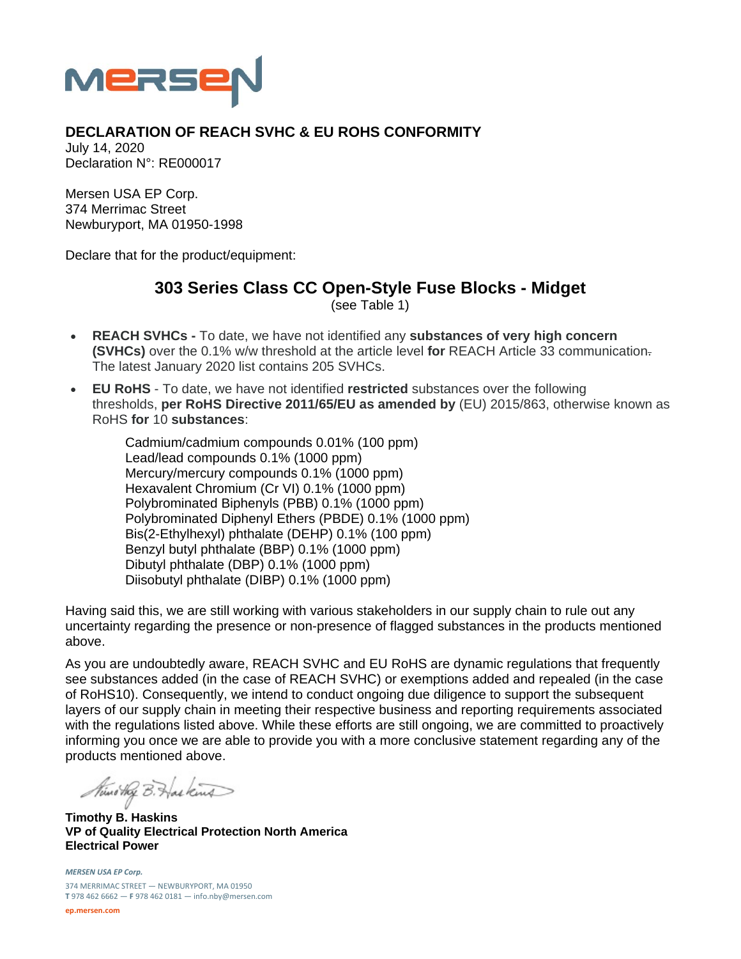

## **DECLARATION OF REACH SVHC & EU ROHS CONFORMITY**

July 14, 2020 Declaration N°: RE000017

Mersen USA EP Corp. 374 Merrimac Street Newburyport, MA 01950-1998

Declare that for the product/equipment:

## **303 Series Class CC Open-Style Fuse Blocks - Midget**  (see Table 1)

- **REACH SVHCs** To date, we have not identified any **substances of very high concern (SVHCs)** over the 0.1% w/w threshold at the article level **for** REACH Article 33 communication. The latest January 2020 list contains 205 SVHCs.
- **EU RoHS** To date, we have not identified **restricted** substances over the following thresholds, **per RoHS Directive 2011/65/EU as amended by** (EU) 2015/863, otherwise known as RoHS **for** 10 **substances**:

Cadmium/cadmium compounds 0.01% (100 ppm) Lead/lead compounds 0.1% (1000 ppm) Mercury/mercury compounds 0.1% (1000 ppm) Hexavalent Chromium (Cr VI) 0.1% (1000 ppm) Polybrominated Biphenyls (PBB) 0.1% (1000 ppm) Polybrominated Diphenyl Ethers (PBDE) 0.1% (1000 ppm) Bis(2-Ethylhexyl) phthalate (DEHP) 0.1% (100 ppm) Benzyl butyl phthalate (BBP) 0.1% (1000 ppm) Dibutyl phthalate (DBP) 0.1% (1000 ppm) Diisobutyl phthalate (DIBP) 0.1% (1000 ppm)

Having said this, we are still working with various stakeholders in our supply chain to rule out any uncertainty regarding the presence or non-presence of flagged substances in the products mentioned above.

As you are undoubtedly aware, REACH SVHC and EU RoHS are dynamic regulations that frequently see substances added (in the case of REACH SVHC) or exemptions added and repealed (in the case of RoHS10). Consequently, we intend to conduct ongoing due diligence to support the subsequent layers of our supply chain in meeting their respective business and reporting requirements associated with the regulations listed above. While these efforts are still ongoing, we are committed to proactively informing you once we are able to provide you with a more conclusive statement regarding any of the products mentioned above.

Nuno they B. Has kind

**Timothy B. Haskins VP of Quality Electrical Protection North America Electrical Power** 

*MERSEN USA EP Corp.* 374 MERRIMAC STREET — NEWBURYPORT, MA 01950 **T** 978 462 6662 — **F** 978 462 0181 — info.nby@mersen.com

**ep.mersen.com**